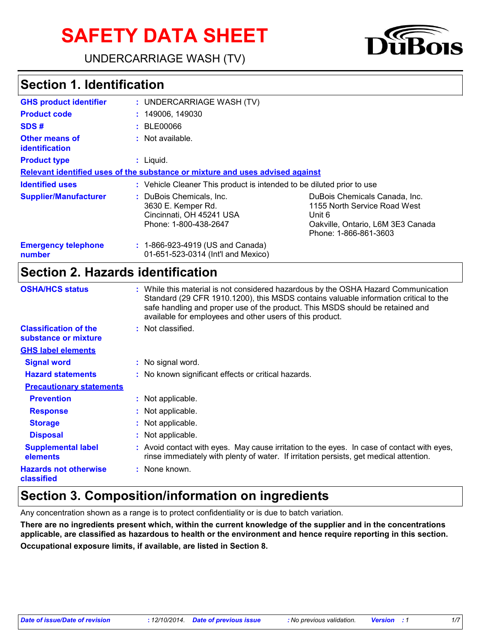# **SAFETY DATA SHEET**

UNDERCARRIAGE WASH (TV)



# **Section 1. Identification**

| <b>GHS product identifier</b>           | : UNDERCARRIAGE WASH (TV)                                                                           |                                                                                                                                       |
|-----------------------------------------|-----------------------------------------------------------------------------------------------------|---------------------------------------------------------------------------------------------------------------------------------------|
| <b>Product code</b>                     | : 149006, 149030                                                                                    |                                                                                                                                       |
| SDS#                                    | : BLE00066                                                                                          |                                                                                                                                       |
| <b>Other means of</b><br>identification | : Not available.                                                                                    |                                                                                                                                       |
| <b>Product type</b>                     | $:$ Liquid.                                                                                         |                                                                                                                                       |
|                                         | Relevant identified uses of the substance or mixture and uses advised against                       |                                                                                                                                       |
| <b>Identified uses</b>                  | : Vehicle Cleaner This product is intended to be diluted prior to use                               |                                                                                                                                       |
| <b>Supplier/Manufacturer</b>            | : DuBois Chemicals, Inc.<br>3630 E. Kemper Rd.<br>Cincinnati, OH 45241 USA<br>Phone: 1-800-438-2647 | DuBois Chemicals Canada, Inc.<br>1155 North Service Road West<br>Unit 6<br>Oakville, Ontario, L6M 3E3 Canada<br>Phone: 1-866-861-3603 |
| <b>Emergency telephone</b><br>number    | : 1-866-923-4919 (US and Canada)<br>01-651-523-0314 (Int'l and Mexico)                              |                                                                                                                                       |

#### **Section 2. Hazards identification**

| <b>OSHA/HCS status</b>                               | : While this material is not considered hazardous by the OSHA Hazard Communication<br>Standard (29 CFR 1910.1200), this MSDS contains valuable information critical to the<br>safe handling and proper use of the product. This MSDS should be retained and<br>available for employees and other users of this product. |
|------------------------------------------------------|-------------------------------------------------------------------------------------------------------------------------------------------------------------------------------------------------------------------------------------------------------------------------------------------------------------------------|
| <b>Classification of the</b><br>substance or mixture | : Not classified.                                                                                                                                                                                                                                                                                                       |
| <b>GHS label elements</b>                            |                                                                                                                                                                                                                                                                                                                         |
| <b>Signal word</b>                                   | : No signal word.                                                                                                                                                                                                                                                                                                       |
| <b>Hazard statements</b>                             | : No known significant effects or critical hazards.                                                                                                                                                                                                                                                                     |
| <b>Precautionary statements</b>                      |                                                                                                                                                                                                                                                                                                                         |
| <b>Prevention</b>                                    | : Not applicable.                                                                                                                                                                                                                                                                                                       |
| <b>Response</b>                                      | : Not applicable.                                                                                                                                                                                                                                                                                                       |
| <b>Storage</b>                                       | : Not applicable.                                                                                                                                                                                                                                                                                                       |
| <b>Disposal</b>                                      | : Not applicable.                                                                                                                                                                                                                                                                                                       |
| <b>Supplemental label</b><br>elements                | : Avoid contact with eyes. May cause irritation to the eyes. In case of contact with eyes,<br>rinse immediately with plenty of water. If irritation persists, get medical attention.                                                                                                                                    |
| <b>Hazards not otherwise</b><br>classified           | : None known.                                                                                                                                                                                                                                                                                                           |

### **Section 3. Composition/information on ingredients**

Any concentration shown as a range is to protect confidentiality or is due to batch variation.

**There are no ingredients present which, within the current knowledge of the supplier and in the concentrations applicable, are classified as hazardous to health or the environment and hence require reporting in this section. Occupational exposure limits, if available, are listed in Section 8.**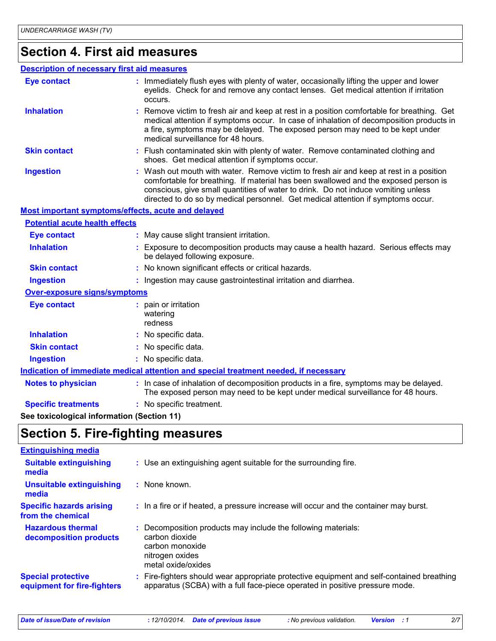#### **Section 4. First aid measures**

#### **Description of necessary first aid measures**

| <b>Eye contact</b>                                 | : Immediately flush eyes with plenty of water, occasionally lifting the upper and lower<br>eyelids. Check for and remove any contact lenses. Get medical attention if irritation<br>occurs.                                                                                                                                                            |  |  |  |
|----------------------------------------------------|--------------------------------------------------------------------------------------------------------------------------------------------------------------------------------------------------------------------------------------------------------------------------------------------------------------------------------------------------------|--|--|--|
| <b>Inhalation</b>                                  | : Remove victim to fresh air and keep at rest in a position comfortable for breathing. Get<br>medical attention if symptoms occur. In case of inhalation of decomposition products in<br>a fire, symptoms may be delayed. The exposed person may need to be kept under<br>medical surveillance for 48 hours.                                           |  |  |  |
| <b>Skin contact</b>                                | : Flush contaminated skin with plenty of water. Remove contaminated clothing and<br>shoes. Get medical attention if symptoms occur.                                                                                                                                                                                                                    |  |  |  |
| <b>Ingestion</b>                                   | : Wash out mouth with water. Remove victim to fresh air and keep at rest in a position<br>comfortable for breathing. If material has been swallowed and the exposed person is<br>conscious, give small quantities of water to drink. Do not induce vomiting unless<br>directed to do so by medical personnel. Get medical attention if symptoms occur. |  |  |  |
| Most important symptoms/effects, acute and delayed |                                                                                                                                                                                                                                                                                                                                                        |  |  |  |
| <b>Potential acute health effects</b>              |                                                                                                                                                                                                                                                                                                                                                        |  |  |  |
| <b>Eye contact</b>                                 | : May cause slight transient irritation.                                                                                                                                                                                                                                                                                                               |  |  |  |
| <b>Inhalation</b>                                  | : Exposure to decomposition products may cause a health hazard. Serious effects may<br>be delayed following exposure.                                                                                                                                                                                                                                  |  |  |  |
| <b>Skin contact</b>                                | : No known significant effects or critical hazards.                                                                                                                                                                                                                                                                                                    |  |  |  |
| <b>Ingestion</b>                                   | : Ingestion may cause gastrointestinal irritation and diarrhea.                                                                                                                                                                                                                                                                                        |  |  |  |
| <b>Over-exposure signs/symptoms</b>                |                                                                                                                                                                                                                                                                                                                                                        |  |  |  |
| <b>Eye contact</b>                                 | : pain or irritation<br>watering<br>redness                                                                                                                                                                                                                                                                                                            |  |  |  |
| <b>Inhalation</b>                                  | : No specific data.                                                                                                                                                                                                                                                                                                                                    |  |  |  |
| <b>Skin contact</b>                                | : No specific data.                                                                                                                                                                                                                                                                                                                                    |  |  |  |
| <b>Ingestion</b>                                   | : No specific data.                                                                                                                                                                                                                                                                                                                                    |  |  |  |
|                                                    | Indication of immediate medical attention and special treatment needed, if necessary                                                                                                                                                                                                                                                                   |  |  |  |
| <b>Notes to physician</b>                          | : In case of inhalation of decomposition products in a fire, symptoms may be delayed.<br>The exposed person may need to be kept under medical surveillance for 48 hours.                                                                                                                                                                               |  |  |  |
| <b>Specific treatments</b>                         | : No specific treatment.                                                                                                                                                                                                                                                                                                                               |  |  |  |

**See toxicological information (Section 11)**

### **Section 5. Fire-fighting measures**

| <b>Extinguishing media</b>                               |                                                                                                                                                                          |
|----------------------------------------------------------|--------------------------------------------------------------------------------------------------------------------------------------------------------------------------|
| <b>Suitable extinguishing</b><br>media                   | : Use an extinguishing agent suitable for the surrounding fire.                                                                                                          |
| <b>Unsuitable extinguishing</b><br>media                 | $:$ None known.                                                                                                                                                          |
| <b>Specific hazards arising</b><br>from the chemical     | : In a fire or if heated, a pressure increase will occur and the container may burst.                                                                                    |
| <b>Hazardous thermal</b><br>decomposition products       | Decomposition products may include the following materials:<br>carbon dioxide<br>carbon monoxide<br>nitrogen oxides<br>metal oxide/oxides                                |
| <b>Special protective</b><br>equipment for fire-fighters | : Fire-fighters should wear appropriate protective equipment and self-contained breathing<br>apparatus (SCBA) with a full face-piece operated in positive pressure mode. |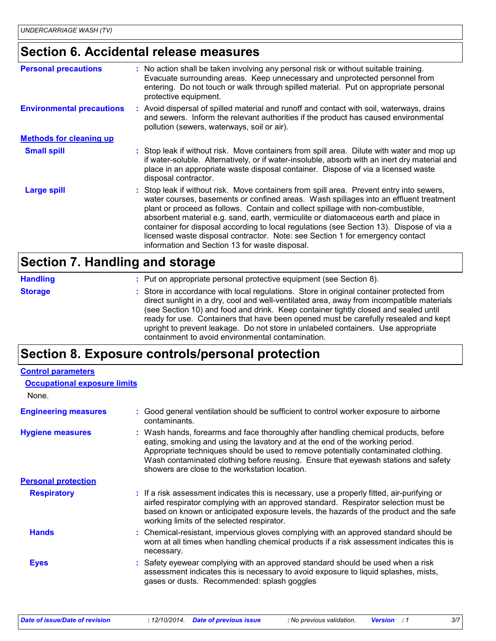### **Section 6. Accidental release measures**

| <b>Personal precautions</b>      | : No action shall be taken involving any personal risk or without suitable training.<br>Evacuate surrounding areas. Keep unnecessary and unprotected personnel from<br>entering. Do not touch or walk through spilled material. Put on appropriate personal<br>protective equipment.                                                                                                                                                                                                                                                                                                       |
|----------------------------------|--------------------------------------------------------------------------------------------------------------------------------------------------------------------------------------------------------------------------------------------------------------------------------------------------------------------------------------------------------------------------------------------------------------------------------------------------------------------------------------------------------------------------------------------------------------------------------------------|
| <b>Environmental precautions</b> | : Avoid dispersal of spilled material and runoff and contact with soil, waterways, drains<br>and sewers. Inform the relevant authorities if the product has caused environmental<br>pollution (sewers, waterways, soil or air).                                                                                                                                                                                                                                                                                                                                                            |
| <b>Methods for cleaning up</b>   |                                                                                                                                                                                                                                                                                                                                                                                                                                                                                                                                                                                            |
| <b>Small spill</b>               | : Stop leak if without risk. Move containers from spill area. Dilute with water and mop up<br>if water-soluble. Alternatively, or if water-insoluble, absorb with an inert dry material and<br>place in an appropriate waste disposal container. Dispose of via a licensed waste<br>disposal contractor.                                                                                                                                                                                                                                                                                   |
| <b>Large spill</b>               | : Stop leak if without risk. Move containers from spill area. Prevent entry into sewers,<br>water courses, basements or confined areas. Wash spillages into an effluent treatment<br>plant or proceed as follows. Contain and collect spillage with non-combustible,<br>absorbent material e.g. sand, earth, vermiculite or diatomaceous earth and place in<br>container for disposal according to local regulations (see Section 13). Dispose of via a<br>licensed waste disposal contractor. Note: see Section 1 for emergency contact<br>information and Section 13 for waste disposal. |

#### **Section 7. Handling and storage**

| <b>Handling</b> | : Put on appropriate personal protective equipment (see Section 8).                                                                                                                                                                                                                                                                                                                                                                                                                                           |
|-----------------|---------------------------------------------------------------------------------------------------------------------------------------------------------------------------------------------------------------------------------------------------------------------------------------------------------------------------------------------------------------------------------------------------------------------------------------------------------------------------------------------------------------|
| <b>Storage</b>  | : Store in accordance with local regulations. Store in original container protected from<br>direct sunlight in a dry, cool and well-ventilated area, away from incompatible materials<br>(see Section 10) and food and drink. Keep container tightly closed and sealed until<br>ready for use. Containers that have been opened must be carefully resealed and kept<br>upright to prevent leakage. Do not store in unlabeled containers. Use appropriate<br>containment to avoid environmental contamination. |

### **Section 8. Exposure controls/personal protection**

| <b>Occupational exposure limits</b>                                                                                                                                                                                                                                                                                                                                                               |
|---------------------------------------------------------------------------------------------------------------------------------------------------------------------------------------------------------------------------------------------------------------------------------------------------------------------------------------------------------------------------------------------------|
|                                                                                                                                                                                                                                                                                                                                                                                                   |
| Good general ventilation should be sufficient to control worker exposure to airborne<br>contaminants.                                                                                                                                                                                                                                                                                             |
| : Wash hands, forearms and face thoroughly after handling chemical products, before<br>eating, smoking and using the lavatory and at the end of the working period.<br>Appropriate techniques should be used to remove potentially contaminated clothing.<br>Wash contaminated clothing before reusing. Ensure that eyewash stations and safety<br>showers are close to the workstation location. |
|                                                                                                                                                                                                                                                                                                                                                                                                   |
| : If a risk assessment indicates this is necessary, use a properly fitted, air-purifying or<br>airfed respirator complying with an approved standard. Respirator selection must be<br>based on known or anticipated exposure levels, the hazards of the product and the safe<br>working limits of the selected respirator.                                                                        |
| : Chemical-resistant, impervious gloves complying with an approved standard should be<br>worn at all times when handling chemical products if a risk assessment indicates this is<br>necessary.                                                                                                                                                                                                   |
| : Safety eyewear complying with an approved standard should be used when a risk<br>assessment indicates this is necessary to avoid exposure to liquid splashes, mists,<br>gases or dusts. Recommended: splash goggles                                                                                                                                                                             |
|                                                                                                                                                                                                                                                                                                                                                                                                   |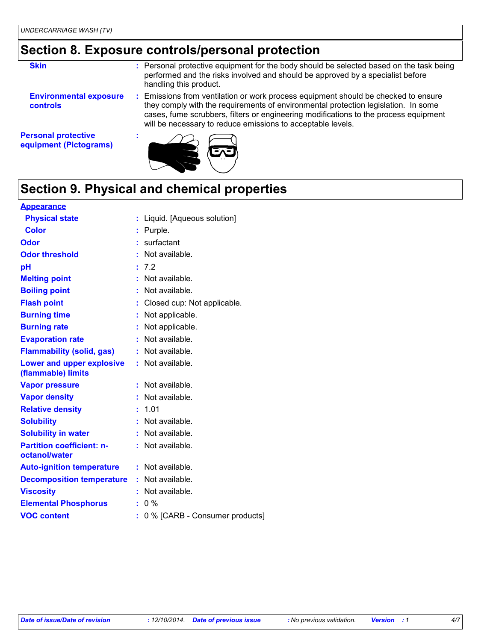### **Section 8. Exposure controls/personal protection**

| <b>Skin</b>                                          | Personal protective equipment for the body should be selected based on the task being<br>performed and the risks involved and should be approved by a specialist before<br>handling this product.                                                                                                                             |
|------------------------------------------------------|-------------------------------------------------------------------------------------------------------------------------------------------------------------------------------------------------------------------------------------------------------------------------------------------------------------------------------|
| <b>Environmental exposure</b><br>controls            | Emissions from ventilation or work process equipment should be checked to ensure<br>they comply with the requirements of environmental protection legislation. In some<br>cases, fume scrubbers, filters or engineering modifications to the process equipment<br>will be necessary to reduce emissions to acceptable levels. |
| <b>Personal protective</b><br>equipment (Pictograms) |                                                                                                                                                                                                                                                                                                                               |



# **Section 9. Physical and chemical properties**

| <u>Appearance</u>                                 |    |                                |
|---------------------------------------------------|----|--------------------------------|
| <b>Physical state</b>                             |    | : Liquid. [Aqueous solution]   |
| <b>Color</b>                                      | t. | Purple.                        |
| Odor                                              | t. | surfactant                     |
| <b>Odor threshold</b>                             |    | Not available.                 |
| pH                                                |    | 7.2                            |
| <b>Melting point</b>                              |    | Not available.                 |
| <b>Boiling point</b>                              |    | Not available.                 |
| <b>Flash point</b>                                |    | Closed cup: Not applicable.    |
| <b>Burning time</b>                               | ÷. | Not applicable.                |
| <b>Burning rate</b>                               | t. | Not applicable.                |
| <b>Evaporation rate</b>                           |    | Not available.                 |
| <b>Flammability (solid, gas)</b>                  |    | Not available.                 |
| Lower and upper explosive<br>(flammable) limits   |    | Not available.                 |
| <b>Vapor pressure</b>                             |    | Not available.                 |
| <b>Vapor density</b>                              |    | Not available.                 |
| <b>Relative density</b>                           |    | 1.01                           |
| <b>Solubility</b>                                 | ÷. | Not available.                 |
| <b>Solubility in water</b>                        |    | Not available.                 |
| <b>Partition coefficient: n-</b><br>octanol/water | t. | Not available.                 |
| <b>Auto-ignition temperature</b>                  |    | : Not available.               |
| <b>Decomposition temperature</b>                  | ÷. | Not available.                 |
| <b>Viscosity</b>                                  |    | Not available.                 |
| <b>Elemental Phosphorus</b>                       |    | $0\%$                          |
| <b>VOC content</b>                                |    | 0 % [CARB - Consumer products] |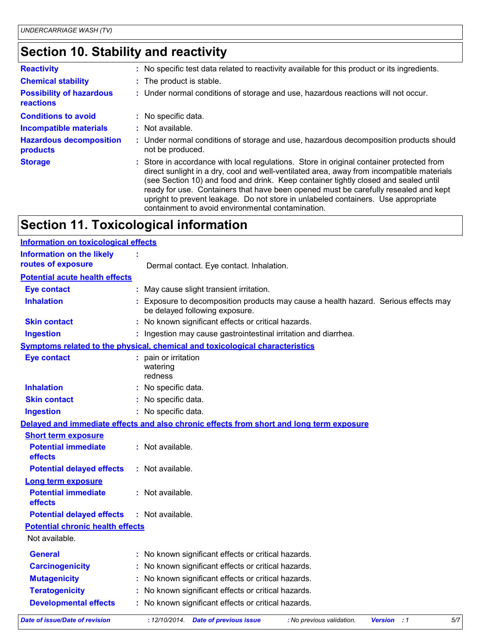# **Section 10. Stability and reactivity**

| <b>Reactivity</b>                            | : No specific test data related to reactivity available for this product or its ingredients.                                                                                                                                                                                                                                                                                                                                                                                                                  |
|----------------------------------------------|---------------------------------------------------------------------------------------------------------------------------------------------------------------------------------------------------------------------------------------------------------------------------------------------------------------------------------------------------------------------------------------------------------------------------------------------------------------------------------------------------------------|
| <b>Chemical stability</b>                    | : The product is stable.                                                                                                                                                                                                                                                                                                                                                                                                                                                                                      |
| <b>Possibility of hazardous</b><br>reactions | : Under normal conditions of storage and use, hazardous reactions will not occur.                                                                                                                                                                                                                                                                                                                                                                                                                             |
| <b>Conditions to avoid</b>                   | : No specific data.                                                                                                                                                                                                                                                                                                                                                                                                                                                                                           |
| <b>Incompatible materials</b>                | $:$ Not available.                                                                                                                                                                                                                                                                                                                                                                                                                                                                                            |
| <b>Hazardous decomposition</b><br>products   | : Under normal conditions of storage and use, hazardous decomposition products should<br>not be produced.                                                                                                                                                                                                                                                                                                                                                                                                     |
| <b>Storage</b>                               | : Store in accordance with local regulations. Store in original container protected from<br>direct sunlight in a dry, cool and well-ventilated area, away from incompatible materials<br>(see Section 10) and food and drink. Keep container tightly closed and sealed until<br>ready for use. Containers that have been opened must be carefully resealed and kept<br>upright to prevent leakage. Do not store in unlabeled containers. Use appropriate<br>containment to avoid environmental contamination. |

# **Section 11. Toxicological information**

| <b>Information on toxicological effects</b> |                                                                                                                     |
|---------------------------------------------|---------------------------------------------------------------------------------------------------------------------|
| <b>Information on the likely</b>            |                                                                                                                     |
| routes of exposure                          | Dermal contact. Eye contact. Inhalation.                                                                            |
| <b>Potential acute health effects</b>       |                                                                                                                     |
| <b>Eye contact</b>                          | May cause slight transient irritation.                                                                              |
| <b>Inhalation</b>                           | Exposure to decomposition products may cause a health hazard. Serious effects may<br>be delayed following exposure. |
| <b>Skin contact</b>                         | : No known significant effects or critical hazards.                                                                 |
| <b>Ingestion</b>                            | Ingestion may cause gastrointestinal irritation and diarrhea.                                                       |
|                                             | Symptoms related to the physical, chemical and toxicological characteristics                                        |
| <b>Eye contact</b>                          | : pain or irritation<br>watering<br>redness                                                                         |
| <b>Inhalation</b>                           | : No specific data.                                                                                                 |
| <b>Skin contact</b>                         | : No specific data.                                                                                                 |
| <b>Ingestion</b>                            | : No specific data.                                                                                                 |
|                                             | Delayed and immediate effects and also chronic effects from short and long term exposure                            |
| <b>Short term exposure</b>                  |                                                                                                                     |
| <b>Potential immediate</b><br>effects       | : Not available.                                                                                                    |
| <b>Potential delayed effects</b>            | : Not available.                                                                                                    |
| <b>Long term exposure</b>                   |                                                                                                                     |
| <b>Potential immediate</b><br>effects       | : Not available.                                                                                                    |
| <b>Potential delayed effects</b>            | : Not available.                                                                                                    |
| <b>Potential chronic health effects</b>     |                                                                                                                     |
| Not available.                              |                                                                                                                     |
| <b>General</b>                              | : No known significant effects or critical hazards.                                                                 |
| <b>Carcinogenicity</b>                      | : No known significant effects or critical hazards.                                                                 |
| <b>Mutagenicity</b>                         | No known significant effects or critical hazards.                                                                   |
| <b>Teratogenicity</b>                       | No known significant effects or critical hazards.                                                                   |
| <b>Developmental effects</b>                | No known significant effects or critical hazards.                                                                   |
|                                             | $\cdots$                                                                                                            |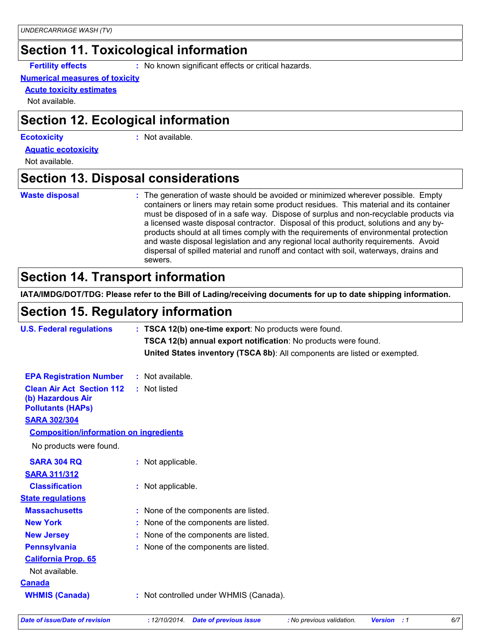#### **Section 11. Toxicological information**

**Fertility effects :** No known significant effects or critical hazards.

#### **Numerical measures of toxicity**

**Acute toxicity estimates**

Not available.

#### **Section 12. Ecological information**

#### **Ecotoxicity :**

: Not available.

**Aquatic ecotoxicity**

Not available.

#### **Section 13. Disposal considerations**

#### **Waste disposal :**

The generation of waste should be avoided or minimized wherever possible. Empty containers or liners may retain some product residues. This material and its container must be disposed of in a safe way. Dispose of surplus and non-recyclable products via a licensed waste disposal contractor. Disposal of this product, solutions and any byproducts should at all times comply with the requirements of environmental protection and waste disposal legislation and any regional local authority requirements. Avoid dispersal of spilled material and runoff and contact with soil, waterways, drains and sewers.

#### **Section 14. Transport information**

**IATA/IMDG/DOT/TDG: Please refer to the Bill of Lading/receiving documents for up to date shipping information.**

#### **Section 15. Regulatory information**

| <b>U.S. Federal regulations</b>                                                   | : TSCA 12(b) one-time export: No products were found.                     |  |
|-----------------------------------------------------------------------------------|---------------------------------------------------------------------------|--|
|                                                                                   | TSCA 12(b) annual export notification: No products were found.            |  |
|                                                                                   | United States inventory (TSCA 8b): All components are listed or exempted. |  |
| <b>EPA Registration Number</b>                                                    | : Not available.                                                          |  |
| <b>Clean Air Act Section 112</b><br>(b) Hazardous Air<br><b>Pollutants (HAPs)</b> | : Not listed                                                              |  |
| <b>SARA 302/304</b>                                                               |                                                                           |  |
| <b>Composition/information on ingredients</b>                                     |                                                                           |  |
| No products were found.                                                           |                                                                           |  |
| <b>SARA 304 RQ</b>                                                                | : Not applicable.                                                         |  |
| <b>SARA 311/312</b>                                                               |                                                                           |  |
| <b>Classification</b>                                                             | : Not applicable.                                                         |  |
| <b>State regulations</b>                                                          |                                                                           |  |
| <b>Massachusetts</b>                                                              | : None of the components are listed.                                      |  |
| <b>New York</b>                                                                   | : None of the components are listed.                                      |  |
| <b>New Jersey</b>                                                                 | : None of the components are listed.                                      |  |
| <b>Pennsylvania</b>                                                               | : None of the components are listed.                                      |  |
| <b>California Prop. 65</b><br>Not available.                                      |                                                                           |  |
| <b>Canada</b>                                                                     |                                                                           |  |
| <b>WHMIS (Canada)</b>                                                             | : Not controlled under WHMIS (Canada).                                    |  |